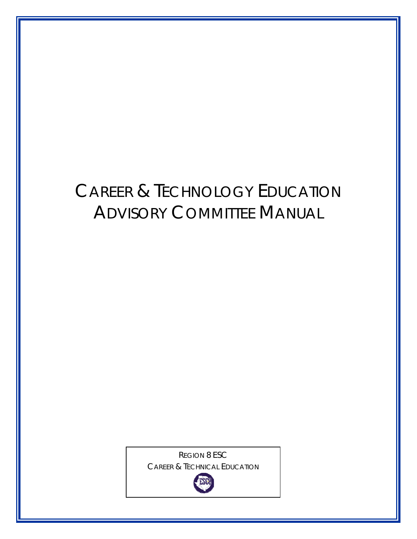# CAREER & TECHNOLOGY EDUCATION ADVISORY COMMITTEE MANUAL

REGION 8 ESC CAREER & TECHNICAL EDUCATION

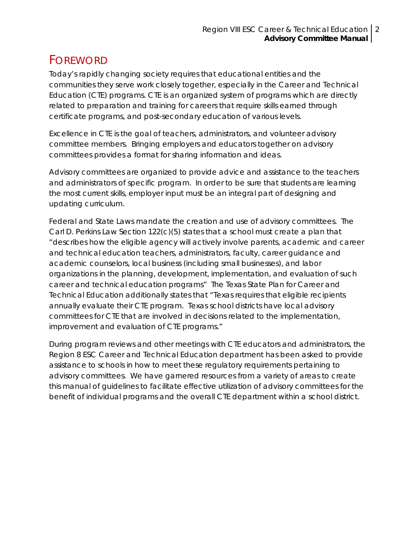# <span id="page-1-0"></span>FOREWORD

Today's rapidly changing society requires that educational entities and the communities they serve work closely together, especially in the Career and Technical Education (CTE) programs. CTE is an organized system of programs which are directly related to preparation and training for careers that require skills earned through certificate programs, and post-secondary education of various levels.

Excellence in CTE is the goal of teachers, administrators, and volunteer advisory committee members. Bringing employers and educators together on advisory committees provides a format for sharing information and ideas.

Advisory committees are organized to provide advice and assistance to the teachers and administrators of specific program. In order to be sure that students are learning the most current skills, employer input must be an integral part of designing and updating curriculum.

Federal and State Laws mandate the creation and use of advisory committees. The Carl D. Perkins Law Section 122(c)(5) states that a school must create a plan that "describes how the eligible agency will actively involve parents, academic and career and technical education teachers, administrators, faculty, career guidance and academic counselors, local business (including small businesses), and labor organizations in the planning, development, implementation, and evaluation of such career and technical education programs" The Texas State Plan for Career and Technical Education additionally states that "Texas requires that eligible recipients annually evaluate their CTE program. Texas school districts have local advisory committees for CTE that are involved in decisions related to the implementation, improvement and evaluation of CTE programs."

During program reviews and other meetings with CTE educators and administrators, the Region 8 ESC Career and Technical Education department has been asked to provide assistance to schools in how to meet these regulatory requirements pertaining to advisory committees. We have garnered resources from a variety of areas to create this manual of guidelines to facilitate effective utilization of advisory committees for the benefit of individual programs and the overall CTE department within a school district.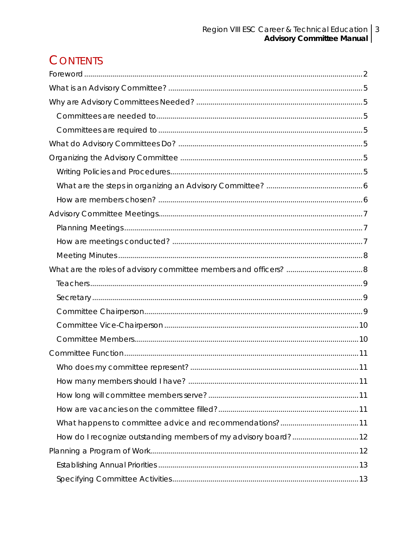# **CONTENTS**

| What happens to committee advice and recommendations?11 |  |
|---------------------------------------------------------|--|
|                                                         |  |
|                                                         |  |
|                                                         |  |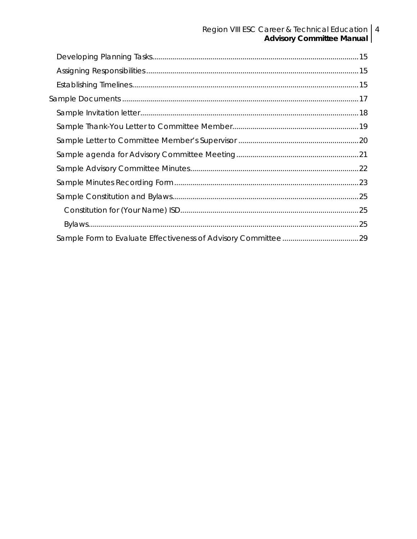# Region VIII ESC Career & Technical Education | 4<br>| Advisory Committee Manual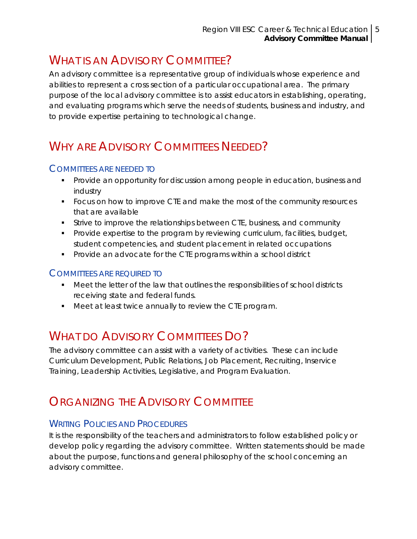# <span id="page-4-0"></span>WHAT IS AN ADVISORY COMMITTEE?

An advisory committee is a representative group of individuals whose experience and abilities to represent a cross section of a particular occupational area. The primary purpose of the local advisory committee is to assist educators in establishing, operating, and evaluating programs which serve the needs of students, business and industry, and to provide expertise pertaining to technological change.

# WHY ARE ADVISORY COMMITTEES NEEDED?

#### COMMITTEES ARE NEEDED TO

- Provide an opportunity for discussion among people in education, business and industry
- **FICUM** Focus on how to improve CTE and make the most of the community resources that are available
- Strive to improve the relationships between CTE, business, and community
- Provide expertise to the program by reviewing curriculum, facilities, budget, student competencies, and student placement in related occupations
- **Provide an advocate for the CTE programs within a school district**

#### COMMITTEES ARE REQUIRED TO

- Meet the letter of the law that outlines the responsibilities of school districts receiving state and federal funds.
- Meet at least twice annually to review the CTE program.

# WHAT DO ADVISORY COMMITTEES DO?

The advisory committee can assist with a variety of activities. These can include Curriculum Development, Public Relations, Job Placement, Recruiting, Inservice Training, Leadership Activities, Legislative, and Program Evaluation.

## ORGANIZING THE ADVISORY COMMITTEE

### WRITING POLICIES AND PROCEDURES

It is the responsibility of the teachers and administrators to follow established policy or develop policy regarding the advisory committee. Written statements should be made about the purpose, functions and general philosophy of the school concerning an advisory committee.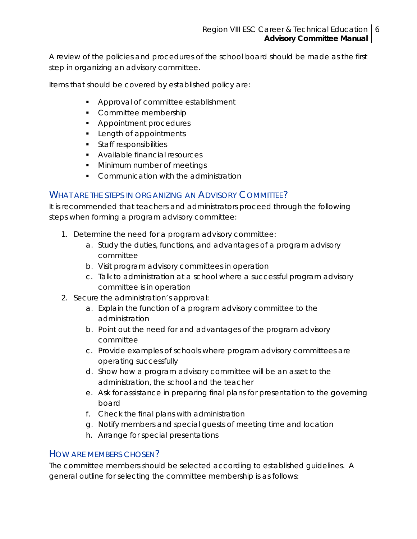<span id="page-5-0"></span>A review of the policies and procedures of the school board should be made as the first step in organizing an advisory committee.

Items that should be covered by established policy are:

- **Approval of committee establishment**
- Committee membership
- **Appointment procedures**
- **Length of appointments**
- **Staff responsibilities**
- **Available financial resources**
- **Minimum number of meetings**
- Communication with the administration

#### WHAT ARE THE STEPS IN ORGANIZING AN ADVISORY COMMITTEE?

It is recommended that teachers and administrators proceed through the following steps when forming a program advisory committee:

- 1. Determine the need for a program advisory committee:
	- a. Study the duties, functions, and advantages of a program advisory committee
	- b. Visit program advisory committees in operation
	- c. Talk to administration at a school where a successful program advisory committee is in operation
- 2. Secure the administration's approval:
	- a. Explain the function of a program advisory committee to the administration
	- b. Point out the need for and advantages of the program advisory committee
	- c. Provide examples of schools where program advisory committees are operating successfully
	- d. Show how a program advisory committee will be an asset to the administration, the school and the teacher
	- e. Ask for assistance in preparing final plans for presentation to the governing board
	- f. Check the final plans with administration
	- g. Notify members and special guests of meeting time and location
	- h. Arrange for special presentations

#### HOW ARE MEMBERS CHOSEN?

The committee members should be selected according to established guidelines. A general outline for selecting the committee membership is as follows: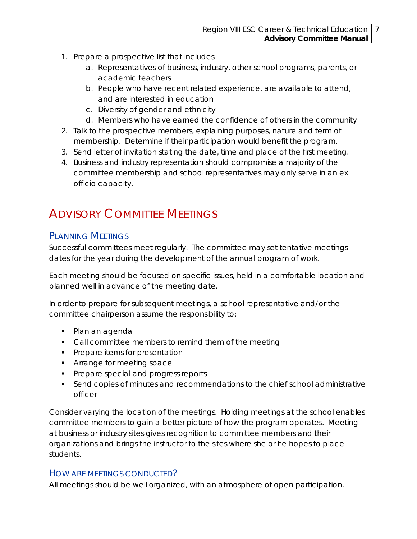- <span id="page-6-0"></span>1. Prepare a prospective list that includes
	- a. Representatives of business, industry, other school programs, parents, or academic teachers
	- b. People who have recent related experience, are available to attend, and are interested in education
	- c. Diversity of gender and ethnicity
	- d. Members who have earned the confidence of others in the community
- 2. Talk to the prospective members, explaining purposes, nature and term of membership. Determine if their participation would benefit the program.
- 3. Send letter of invitation stating the date, time and place of the first meeting.
- 4. Business and industry representation should compromise a majority of the committee membership and school representatives may only serve in an ex officio capacity.

# **ADVISORY COMMITTEE MEETINGS**

#### PLANNING MEETINGS

Successful committees meet regularly. The committee may set tentative meetings dates for the year during the development of the annual program of work.

Each meeting should be focused on specific issues, held in a comfortable location and planned well in advance of the meeting date.

In order to prepare for subsequent meetings, a school representative and/or the committee chairperson assume the responsibility to:

- Plan an agenda
- Call committee members to remind them of the meeting
- **Prepare items for presentation**
- **Arrange for meeting space**
- Prepare special and progress reports
- Send copies of minutes and recommendations to the chief school administrative officer

Consider varying the location of the meetings. Holding meetings at the school enables committee members to gain a better picture of how the program operates. Meeting at business or industry sites gives recognition to committee members and their organizations and brings the instructor to the sites where she or he hopes to place students.

#### HOW ARE MEETINGS CONDUCTED?

All meetings should be well organized, with an atmosphere of open participation.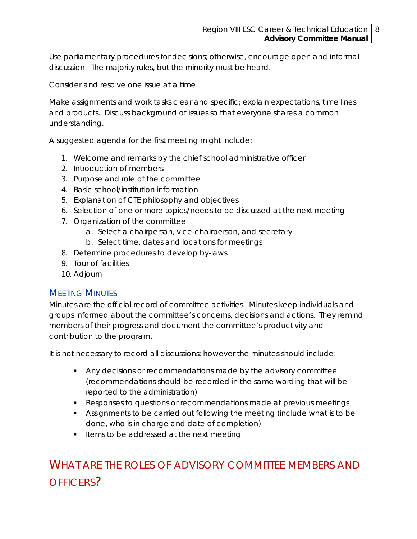<span id="page-7-0"></span>Use parliamentary procedures for decisions; otherwise, encourage open and informal discussion. The majority rules, but the minority must be heard.

Consider and resolve one issue at a time.

Make assignments and work tasks clear and specific; explain expectations, time lines and products. Discuss background of issues so that everyone shares a common understanding.

A suggested agenda for the first meeting might include:

- 1. Welcome and remarks by the chief school administrative officer
- 2. Introduction of members
- 3. Purpose and role of the committee
- 4. Basic school/institution information
- 5. Explanation of CTE philosophy and objectives
- 6. Selection of one or more topics/needs to be discussed at the next meeting
- 7. Organization of the committee
	- a. Select a chairperson, vice-chairperson, and secretary
	- b. Select time, dates and locations for meetings
- 8. Determine procedures to develop by-laws
- 9. Tour of facilities
- 10. Adjourn

#### **MEETING MINUTES**

Minutes are the official record of committee activities. Minutes keep individuals and groups informed about the committee's concerns, decisions and actions. They remind members of their progress and document the committee's productivity and contribution to the program.

It is not necessary to record all discussions; however the minutes should include:

- Any decisions or recommendations made by the advisory committee (recommendations should be recorded in the same wording that will be reported to the administration)
- **EXECT** Responses to questions or recommendations made at previous meetings
- Assignments to be carried out following the meeting (include what is to be done, who is in charge and date of completion)
- Items to be addressed at the next meeting

WHAT ARE THE ROLES OF ADVISORY COMMITTEE MEMBERS AND OFFICERS?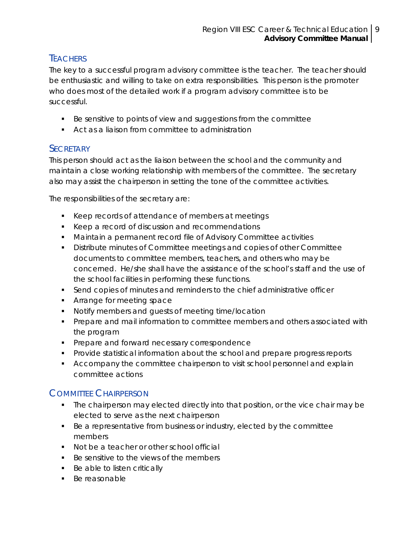### <span id="page-8-0"></span>**TEACHERS**

The key to a successful program advisory committee is the teacher. The teacher should be enthusiastic and willing to take on extra responsibilities. This person is the promoter who does most of the detailed work if a program advisory committee is to be successful.

- Be sensitive to points of view and suggestions from the committee
- Act as a liaison from committee to administration

#### **SECRETARY**

This person should act as the liaison between the school and the community and maintain a close working relationship with members of the committee. The secretary also may assist the chairperson in setting the tone of the committee activities.

The responsibilities of the secretary are:

- EXTER Keep records of attendance of members at meetings
- E Keep a record of discussion and recommendations
- Maintain a permanent record file of Advisory Committee activities
- Distribute minutes of Committee meetings and copies of other Committee documents to committee members, teachers, and others who may be concerned. He/she shall have the assistance of the school's staff and the use of the school facilities in performing these functions.
- Send copies of minutes and reminders to the chief administrative officer
- **Arrange for meeting space**
- **Notify members and quests of meeting time/location**
- **Prepare and mail information to committee members and others associated with** the program
- **Prepare and forward necessary correspondence**
- Provide statistical information about the school and prepare progress reports
- Accompany the committee chairperson to visit school personnel and explain committee actions

### COMMITTEE CHAIRPERSON

- The chairperson may elected directly into that position, or the vice chair may be elected to serve as the next chairperson
- Be a representative from business or industry, elected by the committee members
- **Not be a teacher or other school official**
- Be sensitive to the views of the members
- **Be able to listen critically**
- **Be reasonable**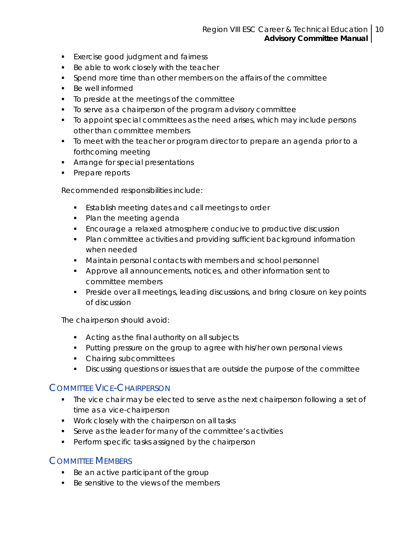#### Region VIII ESC Career & Technical Education 10 **Advisory Committee Manual**

- <span id="page-9-0"></span>**Exercise good judgment and fairness**
- Be able to work closely with the teacher
- Spend more time than other members on the affairs of the committee
- Be well informed
- To preside at the meetings of the committee
- To serve as a chairperson of the program advisory committee
- To appoint special committees as the need arises, which may include persons other than committee members
- To meet with the teacher or program director to prepare an agenda prior to a forthcoming meeting
- **Arrange for special presentations**
- Prepare reports

Recommended responsibilities include:

- **Establish meeting dates and call meetings to order**
- Plan the meeting agenda
- Encourage a relaxed atmosphere conducive to productive discussion
- Plan committee activities and providing sufficient background information when needed
- **Maintain personal contacts with members and school personnel**
- **Approve all announcements, notices, and other information sent to** committee members
- Preside over all meetings, leading discussions, and bring closure on key points of discussion

The chairperson should avoid:

- Acting as the final authority on all subjects
- **Putting pressure on the group to agree with his/her own personal views**
- Chairing subcommittees
- Discussing questions or issues that are outside the purpose of the committee

#### COMMITTEE VICE-CHAIRPERSON

- The vice chair may be elected to serve as the next chairperson following a set of time as a vice-chairperson
- **Work closely with the chairperson on all tasks**
- Serve as the leader for many of the committee's activities
- **Perform specific tasks assigned by the chairperson**

#### COMMITTEE MEMBERS

- Be an active participant of the group
- Be sensitive to the views of the members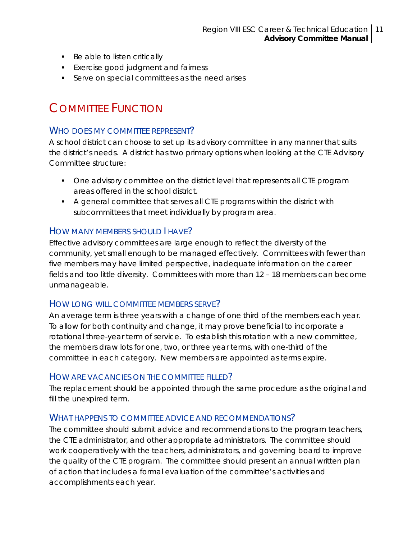- <span id="page-10-0"></span>■ Be able to listen critically
- **Exercise good judgment and fairness**
- **Serve on special committees as the need arises**

# COMMITTEE FUNCTION

#### WHO DOES MY COMMITTEE REPRESENT?

A school district can choose to set up its advisory committee in any manner that suits the district's needs. A district has two primary options when looking at the CTE Advisory Committee structure:

- **One advisory committee on the district level that represents all CTE program** areas offered in the school district.
- A general committee that serves all CTE programs within the district with subcommittees that meet individually by program area.

#### HOW MANY MEMBERS SHOULD I HAVE?

Effective advisory committees are large enough to reflect the diversity of the community, yet small enough to be managed effectively. Committees with fewer than five members may have limited perspective, inadequate information on the career fields and too little diversity. Committees with more than 12 – 18 members can become unmanageable.

#### HOW LONG WILL COMMITTEE MEMBERS SERVE?

An average term is three years with a change of one third of the members each year. To allow for both continuity and change, it may prove beneficial to incorporate a rotational three-year term of service. To establish this rotation with a new committee, the members draw lots for one, two, or three year terms, with one-third of the committee in each category. New members are appointed as terms expire.

#### HOW ARE VACANCIES ON THE COMMITTEE FILLED?

The replacement should be appointed through the same procedure as the original and fill the unexpired term.

#### WHAT HAPPENS TO COMMITTEE ADVICE AND RECOMMENDATIONS?

The committee should submit advice and recommendations to the program teachers, the CTE administrator, and other appropriate administrators. The committee should work cooperatively with the teachers, administrators, and governing board to improve the quality of the CTE program. The committee should present an annual written plan of action that includes a formal evaluation of the committee's activities and accomplishments each year.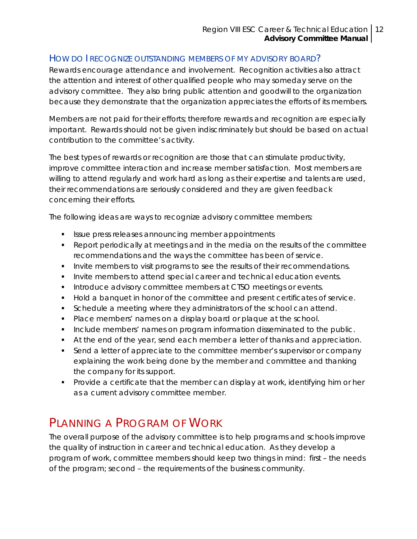#### <span id="page-11-0"></span>HOW DO I RECOGNIZE OUTSTANDING MEMBERS OF MY ADVISORY BOARD?

Rewards encourage attendance and involvement. Recognition activities also attract the attention and interest of other qualified people who may someday serve on the advisory committee. They also bring public attention and goodwill to the organization because they demonstrate that the organization appreciates the efforts of its members.

Members are not paid for their efforts; therefore rewards and recognition are especially important. Rewards should not be given indiscriminately but should be based on actual contribution to the committee's activity.

The best types of rewards or recognition are those that can stimulate productivity, improve committee interaction and increase member satisfaction. Most members are willing to attend regularly and work hard as long as their expertise and talents are used, their recommendations are seriously considered and they are given feedback concerning their efforts.

The following ideas are ways to recognize advisory committee members:

- **If** Issue press releases announcing member appointments
- Report periodically at meetings and in the media on the results of the committee recommendations and the ways the committee has been of service.
- **Invite members to visit programs to see the results of their recommendations.**
- **Invite members to attend special career and technical education events.**
- **Introduce advisory committee members at CTSO meetings or events.**
- Hold a banquet in honor of the committee and present certificates of service.
- **Schedule a meeting where they administrators of the school can attend.**
- **Place members' names on a display board or plaque at the school.**
- Include members' names on program information disseminated to the public.
- At the end of the year, send each member a letter of thanks and appreciation.
- Send a letter of appreciate to the committee member's supervisor or company explaining the work being done by the member and committee and thanking the company for its support.
- Provide a certificate that the member can display at work, identifying him or her as a current advisory committee member.

## PLANNING A PROGRAM OF WORK

The overall purpose of the advisory committee is to help programs and schools improve the quality of instruction in career and technical education. As they develop a program of work, committee members should keep two things in mind: first – the needs of the program; second – the requirements of the business community.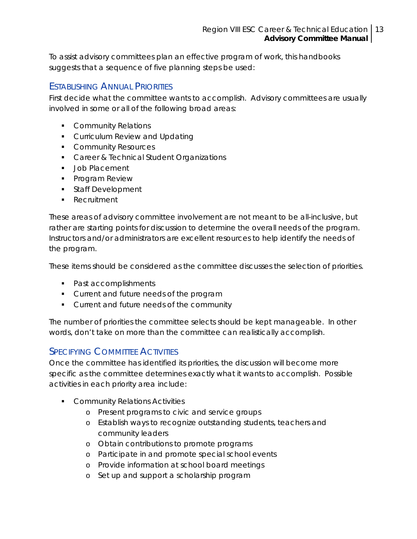<span id="page-12-0"></span>To assist advisory committees plan an effective program of work, this handbooks suggests that a sequence of five planning steps be used:

#### ESTABLISHING ANNUAL PRIORITIES

First decide what the committee wants to accomplish. Advisory committees are usually involved in some or all of the following broad areas:

- **Community Relations**
- **Curriculum Review and Updating**
- **Community Resources**
- **Career & Technical Student Organizations**
- **Job Placement**
- **Program Review**
- **Staff Development**
- **Recruitment**

These areas of advisory committee involvement are not meant to be all-inclusive, but rather are starting points for discussion to determine the overall needs of the program. Instructors and/or administrators are excellent resources to help identify the needs of the program.

These items should be considered as the committee discusses the selection of priorities.

- Past accomplishments
- **Current and future needs of the program**
- **Current and future needs of the community**

The number of priorities the committee selects should be kept manageable. In other words, don't take on more than the committee can realistically accomplish.

#### **SPECIFYING COMMITTEE ACTIVITIES**

Once the committee has identified its priorities, the discussion will become more specific as the committee determines exactly what it wants to accomplish. Possible activities in each priority area include:

- **Community Relations Activities** 
	- o Present programs to civic and service groups
	- o Establish ways to recognize outstanding students, teachers and community leaders
	- o Obtain contributions to promote programs
	- o Participate in and promote special school events
	- o Provide information at school board meetings
	- o Set up and support a scholarship program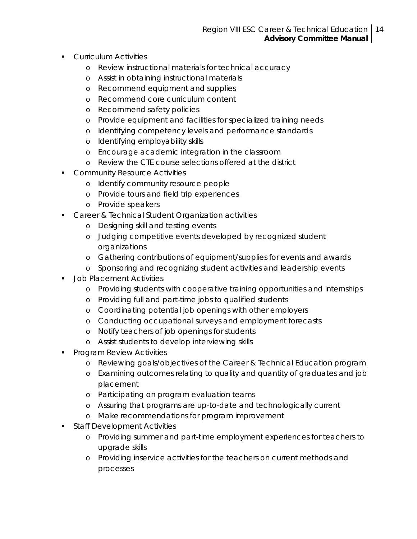- **Curriculum Activities** 
	- o Review instructional materials for technical accuracy
	- o Assist in obtaining instructional materials
	- o Recommend equipment and supplies
	- o Recommend core curriculum content
	- o Recommend safety policies
	- o Provide equipment and facilities for specialized training needs
	- o Identifying competency levels and performance standards
	- o Identifying employability skills
	- o Encourage academic integration in the classroom
	- o Review the CTE course selections offered at the district
- **Community Resource Activities** 
	- o Identify community resource people
	- o Provide tours and field trip experiences
	- o Provide speakers
- **Career & Technical Student Organization activities** 
	- o Designing skill and testing events
	- o Judging competitive events developed by recognized student organizations
	- o Gathering contributions of equipment/supplies for events and awards
	- o Sponsoring and recognizing student activities and leadership events
- Job Placement Activities
	- o Providing students with cooperative training opportunities and internships
	- o Providing full and part-time jobs to qualified students
	- o Coordinating potential job openings with other employers
	- o Conducting occupational surveys and employment forecasts
	- o Notify teachers of job openings for students
	- o Assist students to develop interviewing skills
- **Program Review Activities** 
	- o Reviewing goals/objectives of the Career & Technical Education program
	- o Examining outcomes relating to quality and quantity of graduates and job placement
	- o Participating on program evaluation teams
	- o Assuring that programs are up-to-date and technologically current
	- o Make recommendations for program improvement
- Staff Development Activities
	- o Providing summer and part-time employment experiences for teachers to upgrade skills
	- o Providing inservice activities for the teachers on current methods and processes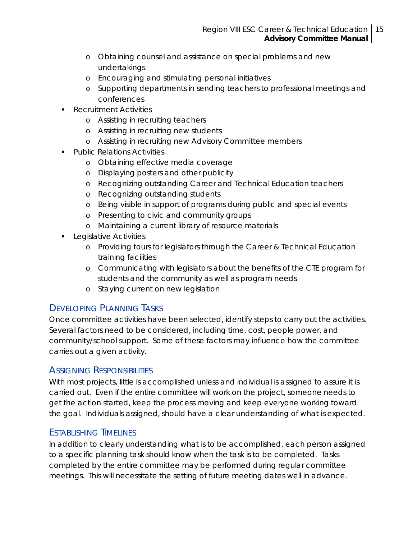- <span id="page-14-0"></span>o Obtaining counsel and assistance on special problems and new undertakings
- o Encouraging and stimulating personal initiatives
- o Supporting departments in sending teachers to professional meetings and conferences
- Recruitment Activities
	- o Assisting in recruiting teachers
	- o Assisting in recruiting new students
	- o Assisting in recruiting new Advisory Committee members
- Public Relations Activities
	- o Obtaining effective media coverage
	- o Displaying posters and other publicity
	- o Recognizing outstanding Career and Technical Education teachers
	- o Recognizing outstanding students
	- o Being visible in support of programs during public and special events
	- o Presenting to civic and community groups
	- o Maintaining a current library of resource materials
- **Legislative Activities** 
	- o Providing tours for legislators through the Career & Technical Education training facilities
	- o Communicating with legislators about the benefits of the CTE program for students and the community as well as program needs
	- o Staying current on new legislation

### DEVELOPING PLANNING TASKS

Once committee activities have been selected, identify steps to carry out the activities. Several factors need to be considered, including time, cost, people power, and community/school support. Some of these factors may influence how the committee carries out a given activity.

#### ASSIGNING RESPONSIBILITIES

With most projects, little is accomplished unless and individual is assigned to assure it is carried out. Even if the entire committee will work on the project, someone needs to get the action started, keep the process moving and keep everyone working toward the goal. Individuals assigned, should have a clear understanding of what is expected.

### ESTABLISHING TIMELINES

In addition to clearly understanding what is to be accomplished, each person assigned to a specific planning task should know when the task is to be completed. Tasks completed by the entire committee may be performed during regular committee meetings. This will necessitate the setting of future meeting dates well in advance.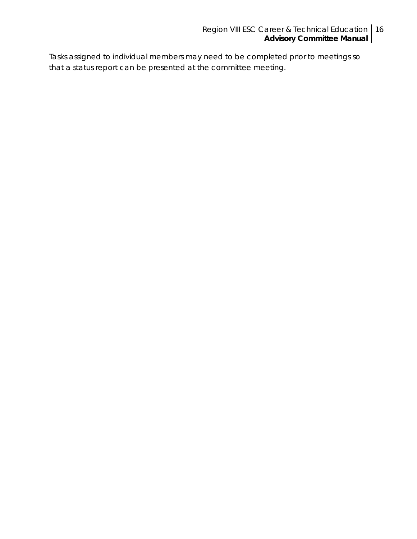#### Region VIII ESC Career & Technical Education **Advisory Committee Manual** 16

Tasks assigned to individual members may need to be completed prior to meetings so that a status report can be presented at the committee meeting.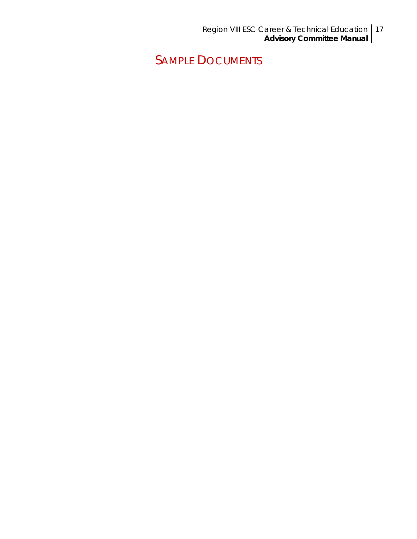Region VIII ESC Career & Technical Education **Advisory Committee Manual** 17

<span id="page-16-0"></span>SAMPLE DOCUMENTS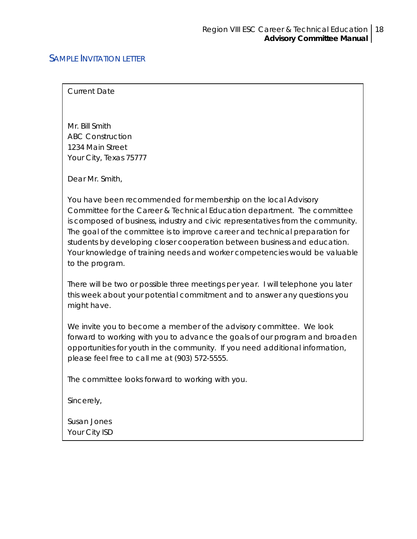#### <span id="page-17-0"></span>SAMPLE INVITATION LETTER

Current Date

Mr. Bill Smith ABC Construction 1234 Main Street Your City, Texas 75777

Dear Mr. Smith,

You have been recommended for membership on the local Advisory Committee for the Career & Technical Education department. The committee is composed of business, industry and civic representatives from the community. The goal of the committee is to improve career and technical preparation for students by developing closer cooperation between business and education. Your knowledge of training needs and worker competencies would be valuable to the program.

There will be two or possible three meetings per year. I will telephone you later this week about your potential commitment and to answer any questions you might have.

We invite you to become a member of the advisory committee. We look forward to working with you to advance the goals of our program and broaden opportunities for youth in the community. If you need additional information, please feel free to call me at (903) 572-5555.

The committee looks forward to working with you.

Sincerely,

Susan Jones Your City ISD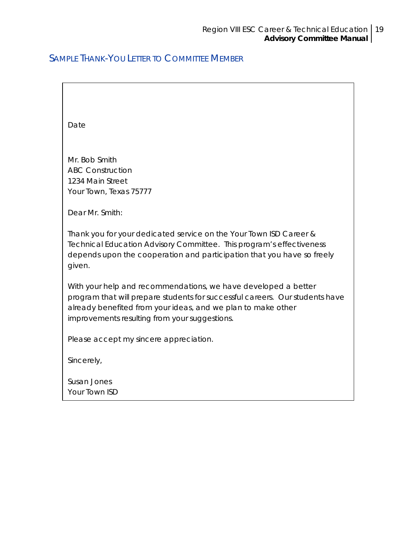### <span id="page-18-0"></span>SAMPLE THANK-YOU LETTER TO COMMITTEE MEMBER

| Date                                                                                                                                                                                                                                                            |
|-----------------------------------------------------------------------------------------------------------------------------------------------------------------------------------------------------------------------------------------------------------------|
|                                                                                                                                                                                                                                                                 |
| Mr. Bob Smith                                                                                                                                                                                                                                                   |
| <b>ABC Construction</b><br>1234 Main Street                                                                                                                                                                                                                     |
| Your Town, Texas 75777                                                                                                                                                                                                                                          |
|                                                                                                                                                                                                                                                                 |
| Dear Mr. Smith:                                                                                                                                                                                                                                                 |
| Thank you for your dedicated service on the Your Town ISD Career &<br>Technical Education Advisory Committee. This program's effectiveness<br>depends upon the cooperation and participation that you have so freely<br>given.                                  |
| With your help and recommendations, we have developed a better<br>program that will prepare students for successful careers. Our students have<br>already benefited from your ideas, and we plan to make other<br>improvements resulting from your suggestions. |
| Please accept my sincere appreciation.                                                                                                                                                                                                                          |
| Sincerely,                                                                                                                                                                                                                                                      |
| Susan Jones<br>Your Town ISD                                                                                                                                                                                                                                    |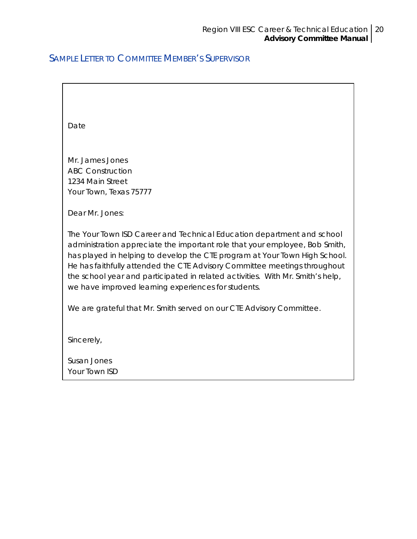### <span id="page-19-0"></span>SAMPLE LETTER TO COMMITTEE MEMBER'S SUPERVISOR

| Date                                                                                                                                                                                                                                                                                                                                                                                                                                                      |
|-----------------------------------------------------------------------------------------------------------------------------------------------------------------------------------------------------------------------------------------------------------------------------------------------------------------------------------------------------------------------------------------------------------------------------------------------------------|
|                                                                                                                                                                                                                                                                                                                                                                                                                                                           |
| Mr. James Jones                                                                                                                                                                                                                                                                                                                                                                                                                                           |
| <b>ABC Construction</b>                                                                                                                                                                                                                                                                                                                                                                                                                                   |
| 1234 Main Street                                                                                                                                                                                                                                                                                                                                                                                                                                          |
| Your Town, Texas 75777                                                                                                                                                                                                                                                                                                                                                                                                                                    |
|                                                                                                                                                                                                                                                                                                                                                                                                                                                           |
| Dear Mr. Jones:                                                                                                                                                                                                                                                                                                                                                                                                                                           |
| The Your Town ISD Career and Technical Education department and school<br>administration appreciate the important role that your employee, Bob Smith,<br>has played in helping to develop the CTE program at Your Town High School.<br>He has faithfully attended the CTE Advisory Committee meetings throughout<br>the school year and participated in related activities. With Mr. Smith's help,<br>we have improved learning experiences for students. |
| We are grateful that Mr. Smith served on our CTE Advisory Committee.                                                                                                                                                                                                                                                                                                                                                                                      |
| Sincerely,                                                                                                                                                                                                                                                                                                                                                                                                                                                |
| Susan Jones                                                                                                                                                                                                                                                                                                                                                                                                                                               |
| Your Town ISD                                                                                                                                                                                                                                                                                                                                                                                                                                             |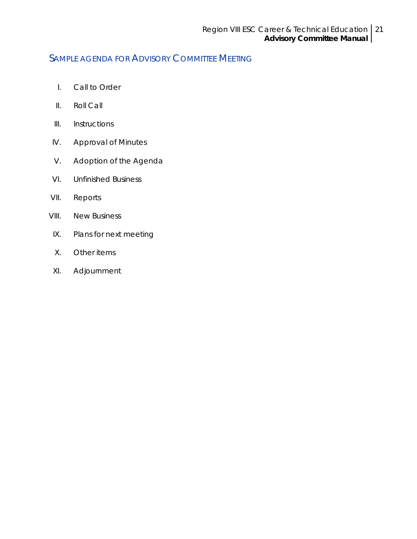### <span id="page-20-0"></span>SAMPLE AGENDA FOR ADVISORY COMMITTEE MEETING

- I. Call to Order
- II. Roll Call
- III. Instructions
- IV. Approval of Minutes
- V. Adoption of the Agenda
- VI. Unfinished Business
- VII. Reports
- VIII. New Business
- IX. Plans for next meeting
- X. Other items
- XI. Adjournment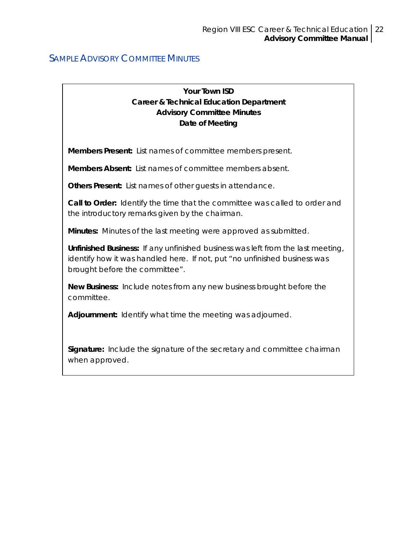#### <span id="page-21-0"></span>**SAMPLE ADVISORY COMMITTEE MINUTES**

#### **Your Town ISD Career & Technical Education Department Advisory Committee Minutes Date of Meeting**

**Members Present:** List names of committee members present.

**Members Absent:** List names of committee members absent.

**Others Present:** List names of other guests in attendance.

**Call to Order:** Identify the time that the committee was called to order and the introductory remarks given by the chairman.

**Minutes:** Minutes of the last meeting were approved as submitted.

**Unfinished Business:** If any unfinished business was left from the last meeting, identify how it was handled here. If not, put "no unfinished business was brought before the committee".

**New Business:** Include notes from any new business brought before the committee.

**Adjournment:** Identify what time the meeting was adjourned.

**Signature:** Include the signature of the secretary and committee chairman when approved.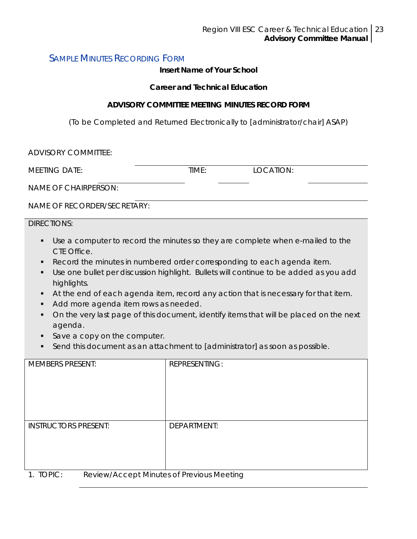### <span id="page-22-0"></span>SAMPLE MINUTES RECORDING FORM

#### **Insert Name of Your School**

#### *Career and Technical Education*

#### **ADVISORY COMMITTEE MEETING MINUTES RECORD FORM**

(To be Completed and Returned Electronically to [administrator/chair] ASAP)

| <b>ADVISORY COMMITTEE:</b>                                                                                                                                                                                                                                                                                                                                                                                                                                                                                                                                                                                                                                       |                      |           |  |  |
|------------------------------------------------------------------------------------------------------------------------------------------------------------------------------------------------------------------------------------------------------------------------------------------------------------------------------------------------------------------------------------------------------------------------------------------------------------------------------------------------------------------------------------------------------------------------------------------------------------------------------------------------------------------|----------------------|-----------|--|--|
| <b>MEETING DATE:</b>                                                                                                                                                                                                                                                                                                                                                                                                                                                                                                                                                                                                                                             | TIME:                | LOCATION: |  |  |
| <b>NAME OF CHAIRPERSON:</b>                                                                                                                                                                                                                                                                                                                                                                                                                                                                                                                                                                                                                                      |                      |           |  |  |
| NAME OF RECORDER/SECRETARY:                                                                                                                                                                                                                                                                                                                                                                                                                                                                                                                                                                                                                                      |                      |           |  |  |
| <b>DIRECTIONS:</b>                                                                                                                                                                                                                                                                                                                                                                                                                                                                                                                                                                                                                                               |                      |           |  |  |
| Use a computer to record the minutes so they are complete when e-mailed to the<br>п<br>CTE Office.<br>Record the minutes in numbered order corresponding to each agenda item.<br>٠<br>Use one bullet per discussion highlight. Bullets will continue to be added as you add<br>٠<br>highlights.<br>At the end of each agenda item, record any action that is necessary for that item.<br>п<br>Add more agenda item rows as needed.<br>٠<br>On the very last page of this document, identify items that will be placed on the next<br>agenda.<br>Save a copy on the computer.<br>٠<br>Send this document as an attachment to [administrator] as soon as possible. |                      |           |  |  |
| <b>MEMBERS PRESENT:</b>                                                                                                                                                                                                                                                                                                                                                                                                                                                                                                                                                                                                                                          | <b>REPRESENTING:</b> |           |  |  |
| <b>INSTRUCTORS PRESENT:</b>                                                                                                                                                                                                                                                                                                                                                                                                                                                                                                                                                                                                                                      | <b>DEPARTMENT:</b>   |           |  |  |
| 1. TOPIC:<br>Review/Accept Minutes of Previous Meeting                                                                                                                                                                                                                                                                                                                                                                                                                                                                                                                                                                                                           |                      |           |  |  |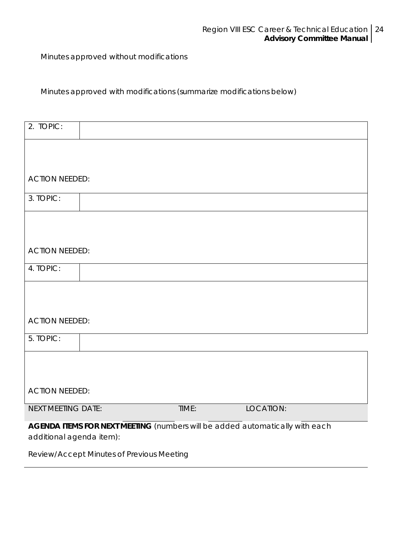Minutes approved without modifications

Minutes approved with modifications *(summarize modifications below)*

| 2. TOPIC:                                                                    |  |       |           |  |
|------------------------------------------------------------------------------|--|-------|-----------|--|
|                                                                              |  |       |           |  |
|                                                                              |  |       |           |  |
| <b>ACTION NEEDED:</b>                                                        |  |       |           |  |
| 3. TOPIC:                                                                    |  |       |           |  |
|                                                                              |  |       |           |  |
|                                                                              |  |       |           |  |
| <b>ACTION NEEDED:</b>                                                        |  |       |           |  |
| 4. TOPIC:                                                                    |  |       |           |  |
|                                                                              |  |       |           |  |
|                                                                              |  |       |           |  |
| <b>ACTION NEEDED:</b>                                                        |  |       |           |  |
| 5. TOPIC:                                                                    |  |       |           |  |
|                                                                              |  |       |           |  |
|                                                                              |  |       |           |  |
| <b>ACTION NEEDED:</b>                                                        |  |       |           |  |
| <b>NEXT MEETING DATE:</b>                                                    |  | TIME: | LOCATION: |  |
| AGENDA ITEMS FOR NEXT MEETING (numbers will be added automatically with each |  |       |           |  |

*additional agenda item*):

Review/Accept Minutes of Previous Meeting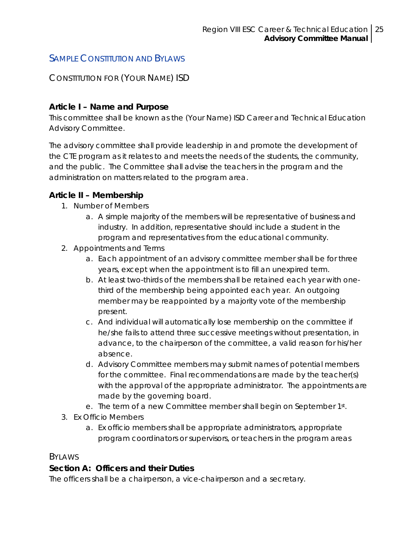### <span id="page-24-0"></span>SAMPLE CONSTITUTION AND BYLAWS

#### *CONSTITUTION FOR (YOUR NAME) ISD*

#### **Article I – Name and Purpose**

This committee shall be known as the (Your Name) ISD Career and Technical Education Advisory Committee.

The advisory committee shall provide leadership in and promote the development of the CTE program as it relates to and meets the needs of the students, the community, and the public. The Committee shall advise the teachers in the program and the administration on matters related to the program area.

#### **Article II – Membership**

- 1. Number of Members
	- a. A simple majority of the members will be representative of business and industry. In addition, representative should include a student in the program and representatives from the educational community.
- 2. Appointments and Terms
	- a. Each appointment of an advisory committee member shall be for three years, except when the appointment is to fill an unexpired term.
	- b. At least two-thirds of the members shall be retained each year with onethird of the membership being appointed each year. An outgoing member may be reappointed by a majority vote of the membership present.
	- c. And individual will automatically lose membership on the committee if he/she fails to attend three successive meetings without presentation, in advance, to the chairperson of the committee, a valid reason for his/her absence.
	- d. Advisory Committee members may submit names of potential members for the committee. Final recommendations are made by the teacher(s) with the approval of the appropriate administrator. The appointments are made by the governing board.
	- e. The term of a new Committee member shall begin on September 1st.
- 3. Ex Officio Members
	- a. Ex officio members shall be appropriate administrators, appropriate program coordinators or supervisors, or teachers in the program areas

#### *BYLAWS*

#### **Section A: Officers and their Duties**

The officers shall be a chairperson, a vice-chairperson and a secretary.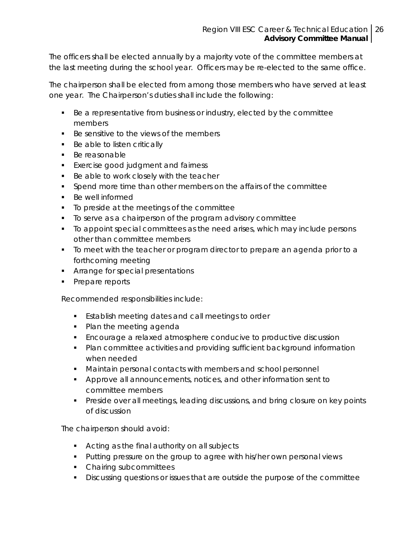The officers shall be elected annually by a majority vote of the committee members at the last meeting during the school year. Officers may be re-elected to the same office.

The chairperson shall be elected from among those members who have served at least one year. The Chairperson's duties shall include the following:

- Be a representative from business or industry, elected by the committee members
- Be sensitive to the views of the members
- **Be able to listen critically**
- **Be reasonable**
- **Exercise good judgment and fairness**
- Be able to work closely with the teacher
- Spend more time than other members on the affairs of the committee
- Be well informed
- To preside at the meetings of the committee
- To serve as a chairperson of the program advisory committee
- To appoint special committees as the need arises, which may include persons other than committee members
- To meet with the teacher or program director to prepare an agenda prior to a forthcoming meeting
- **Arrange for special presentations**
- Prepare reports

Recommended responsibilities include:

- **Establish meeting dates and call meetings to order**
- Plan the meeting agenda
- Encourage a relaxed atmosphere conducive to productive discussion
- Plan committee activities and providing sufficient background information when needed
- Maintain personal contacts with members and school personnel
- Approve all announcements, notices, and other information sent to committee members
- **Preside over all meetings, leading discussions, and bring closure on key points** of discussion

The chairperson should avoid:

- **Acting as the final authority on all subjects**
- **Putting pressure on the group to agree with his/her own personal views**
- Chairing subcommittees
- **Discussing questions or issues that are outside the purpose of the committee**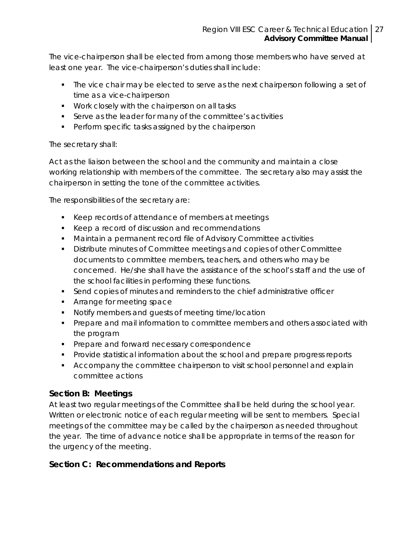The vice-chairperson shall be elected from among those members who have served at least one year. The vice-chairperson's duties shall include:

- The vice chair may be elected to serve as the next chairperson following a set of time as a vice-chairperson
- **Work closely with the chairperson on all tasks**
- Serve as the leader for many of the committee's activities
- **Perform specific tasks assigned by the chairperson**

#### The secretary shall:

Act as the liaison between the school and the community and maintain a close working relationship with members of the committee. The secretary also may assist the chairperson in setting the tone of the committee activities.

The responsibilities of the secretary are:

- EXTER Keep records of attendance of members at meetings
- **Keep a record of discussion and recommendations**
- Maintain a permanent record file of Advisory Committee activities
- Distribute minutes of Committee meetings and copies of other Committee documents to committee members, teachers, and others who may be concerned. He/she shall have the assistance of the school's staff and the use of the school facilities in performing these functions.
- Send copies of minutes and reminders to the chief administrative officer
- **Arrange for meeting space**
- **Notify members and quests of meeting time/location**
- Prepare and mail information to committee members and others associated with the program
- **Prepare and forward necessary correspondence**
- Provide statistical information about the school and prepare progress reports
- **Accompany the committee chairperson to visit school personnel and explain** committee actions

#### **Section B: Meetings**

At least two regular meetings of the Committee shall be held during the school year. Written or electronic notice of each regular meeting will be sent to members. Special meetings of the committee may be called by the chairperson as needed throughout the year. The time of advance notice shall be appropriate in terms of the reason for the urgency of the meeting.

#### **Section C: Recommendations and Reports**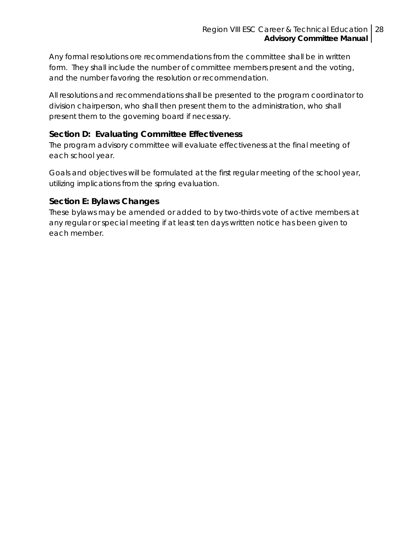Any formal resolutions ore recommendations from the committee shall be in written form. They shall include the number of committee members present and the voting, and the number favoring the resolution or recommendation.

All resolutions and recommendations shall be presented to the program coordinator to division chairperson, who shall then present them to the administration, who shall present them to the governing board if necessary.

#### **Section D: Evaluating Committee Effectiveness**

The program advisory committee will evaluate effectiveness at the final meeting of each school year.

Goals and objectives will be formulated at the first regular meeting of the school year, utilizing implications from the spring evaluation.

#### **Section E: Bylaws Changes**

These bylaws may be amended or added to by two-thirds vote of active members at any regular or special meeting if at least ten days written notice has been given to each member.